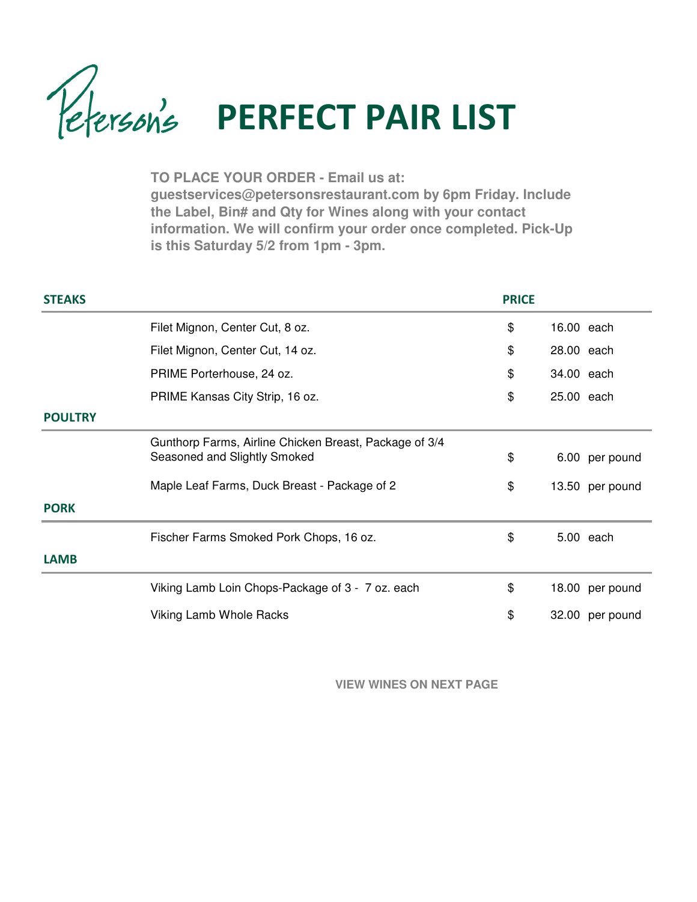

TO PLACE YOUR ORDER - Email us at: **guestservices@petersonsrestaurant.com by 6pm Friday. Include the Label, Bin# and Qty for Wines along with your contact information. We will confirm your order once completed. Pick-Up is this Saturday 5/2 from 1pm - 3pm.**

| <b>STEAKS</b>  |                                                                                        | <b>PRICE</b> |            |                 |
|----------------|----------------------------------------------------------------------------------------|--------------|------------|-----------------|
|                | Filet Mignon, Center Cut, 8 oz.                                                        | \$           | 16.00 each |                 |
|                | Filet Mignon, Center Cut, 14 oz.                                                       | \$           | 28.00 each |                 |
|                | PRIME Porterhouse, 24 oz.                                                              | \$           | 34.00 each |                 |
|                | PRIME Kansas City Strip, 16 oz.                                                        | \$           | 25.00 each |                 |
| <b>POULTRY</b> |                                                                                        |              |            |                 |
|                | Gunthorp Farms, Airline Chicken Breast, Package of 3/4<br>Seasoned and Slightly Smoked | \$           |            | 6.00 per pound  |
|                | Maple Leaf Farms, Duck Breast - Package of 2                                           | \$           |            | 13.50 per pound |
| <b>PORK</b>    |                                                                                        |              |            |                 |
|                | Fischer Farms Smoked Pork Chops, 16 oz.                                                | \$           |            | 5.00 each       |
| <b>LAMB</b>    |                                                                                        |              |            |                 |
|                | Viking Lamb Loin Chops-Package of 3 - 7 oz. each                                       | \$           |            | 18.00 per pound |
|                | Viking Lamb Whole Racks                                                                | \$           |            | 32.00 per pound |

**VIEW WINES ON NEXT PAGE**